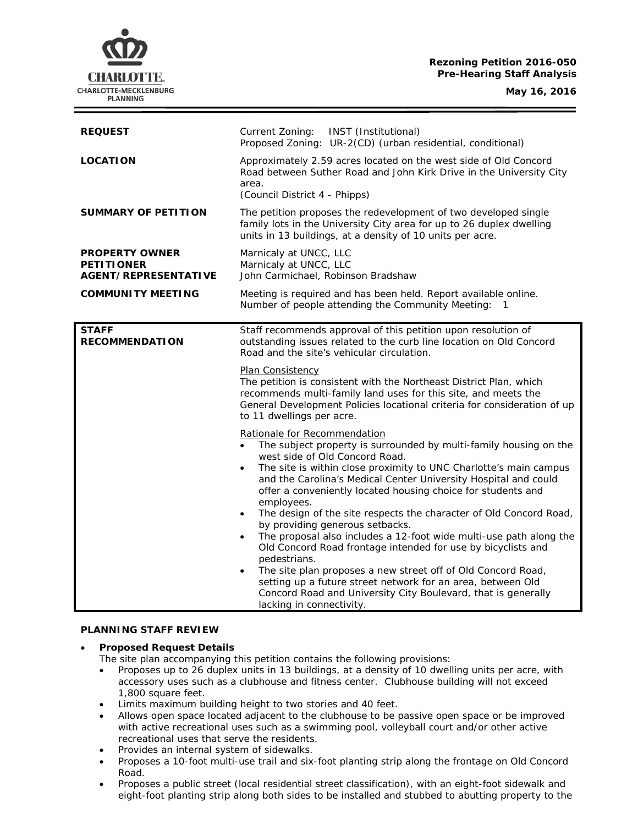## **Rezoning Petition 2016-050 Pre-Hearing Staff Analysis**

**May 16, 2016**



| <b>REQUEST</b>                                                     | INST (Institutional)<br>Current Zoning:<br>Proposed Zoning: UR-2(CD) (urban residential, conditional)                                                                                                                                                                                                                                                                                                                                                                                                                                                                                                                                                                                                                                                                                                                                                                          |
|--------------------------------------------------------------------|--------------------------------------------------------------------------------------------------------------------------------------------------------------------------------------------------------------------------------------------------------------------------------------------------------------------------------------------------------------------------------------------------------------------------------------------------------------------------------------------------------------------------------------------------------------------------------------------------------------------------------------------------------------------------------------------------------------------------------------------------------------------------------------------------------------------------------------------------------------------------------|
| <b>LOCATION</b>                                                    | Approximately 2.59 acres located on the west side of Old Concord<br>Road between Suther Road and John Kirk Drive in the University City<br>area.<br>(Council District 4 - Phipps)                                                                                                                                                                                                                                                                                                                                                                                                                                                                                                                                                                                                                                                                                              |
| <b>SUMMARY OF PETITION</b>                                         | The petition proposes the redevelopment of two developed single<br>family lots in the University City area for up to 26 duplex dwelling<br>units in 13 buildings, at a density of 10 units per acre.                                                                                                                                                                                                                                                                                                                                                                                                                                                                                                                                                                                                                                                                           |
| <b>PROPERTY OWNER</b><br><b>PETITIONER</b><br>AGENT/REPRESENTATIVE | Marnicaly at UNCC, LLC<br>Marnicaly at UNCC, LLC<br>John Carmichael, Robinson Bradshaw                                                                                                                                                                                                                                                                                                                                                                                                                                                                                                                                                                                                                                                                                                                                                                                         |
| <b>COMMUNITY MEETING</b>                                           | Meeting is required and has been held. Report available online.<br>Number of people attending the Community Meeting: 1                                                                                                                                                                                                                                                                                                                                                                                                                                                                                                                                                                                                                                                                                                                                                         |
| <b>STAFF</b><br><b>RECOMMENDATION</b>                              | Staff recommends approval of this petition upon resolution of<br>outstanding issues related to the curb line location on Old Concord<br>Road and the site's vehicular circulation.<br>Plan Consistency<br>The petition is consistent with the Northeast District Plan, which<br>recommends multi-family land uses for this site, and meets the<br>General Development Policies locational criteria for consideration of up<br>to 11 dwellings per acre.                                                                                                                                                                                                                                                                                                                                                                                                                        |
|                                                                    | Rationale for Recommendation<br>The subject property is surrounded by multi-family housing on the<br>west side of Old Concord Road.<br>The site is within close proximity to UNC Charlotte's main campus<br>and the Carolina's Medical Center University Hospital and could<br>offer a conveniently located housing choice for students and<br>employees.<br>The design of the site respects the character of Old Concord Road,<br>by providing generous setbacks.<br>The proposal also includes a 12-foot wide multi-use path along the<br>$\bullet$<br>Old Concord Road frontage intended for use by bicyclists and<br>pedestrians.<br>The site plan proposes a new street off of Old Concord Road,<br>$\bullet$<br>setting up a future street network for an area, between Old<br>Concord Road and University City Boulevard, that is generally<br>lacking in connectivity. |

#### **PLANNING STAFF REVIEW**

### • **Proposed Request Details**

The site plan accompanying this petition contains the following provisions:

- Proposes up to 26 duplex units in 13 buildings, at a density of 10 dwelling units per acre, with accessory uses such as a clubhouse and fitness center. Clubhouse building will not exceed 1,800 square feet.
- Limits maximum building height to two stories and 40 feet.
- Allows open space located adjacent to the clubhouse to be passive open space or be improved with active recreational uses such as a swimming pool, volleyball court and/or other active recreational uses that serve the residents.
- Provides an internal system of sidewalks.
- Proposes a 10-foot multi-use trail and six-foot planting strip along the frontage on Old Concord Road.
- Proposes a public street (local residential street classification), with an eight-foot sidewalk and eight-foot planting strip along both sides to be installed and stubbed to abutting property to the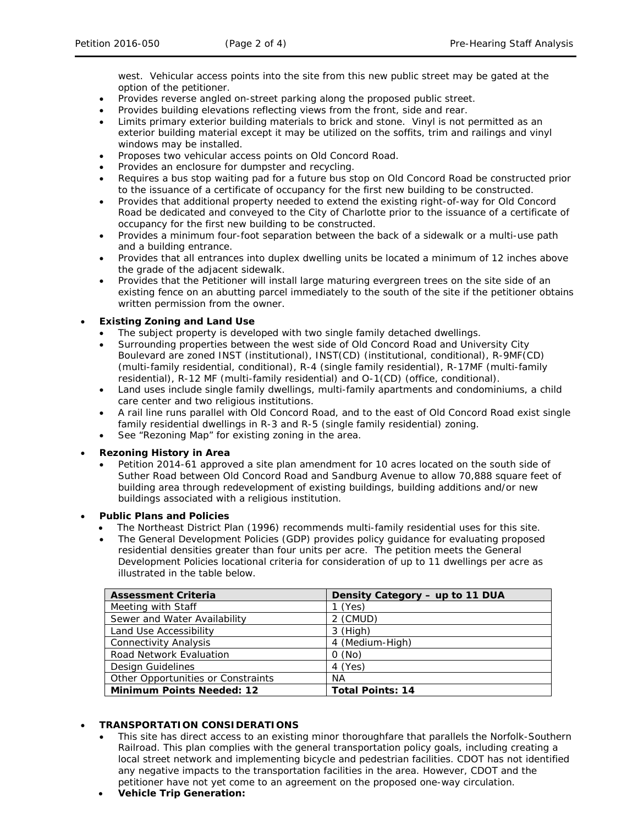west. Vehicular access points into the site from this new public street may be gated at the option of the petitioner.

- Provides reverse angled on-street parking along the proposed public street.
- Provides building elevations reflecting views from the front, side and rear.
- Limits primary exterior building materials to brick and stone. Vinyl is not permitted as an exterior building material except it may be utilized on the soffits, trim and railings and vinyl windows may be installed.
- Proposes two vehicular access points on Old Concord Road.
- Provides an enclosure for dumpster and recycling.
- Requires a bus stop waiting pad for a future bus stop on Old Concord Road be constructed prior to the issuance of a certificate of occupancy for the first new building to be constructed.
- Provides that additional property needed to extend the existing right-of-way for Old Concord Road be dedicated and conveyed to the City of Charlotte prior to the issuance of a certificate of occupancy for the first new building to be constructed.
- Provides a minimum four-foot separation between the back of a sidewalk or a multi-use path and a building entrance.
- Provides that all entrances into duplex dwelling units be located a minimum of 12 inches above the grade of the adjacent sidewalk.
- Provides that the Petitioner will install large maturing evergreen trees on the site side of an existing fence on an abutting parcel immediately to the south of the site if the petitioner obtains written permission from the owner.

## • **Existing Zoning and Land Use**

- The subject property is developed with two single family detached dwellings.
- Surrounding properties between the west side of Old Concord Road and University City Boulevard are zoned INST (institutional), INST(CD) (institutional, conditional), R-9MF(CD) (multi-family residential, conditional), R-4 (single family residential), R-17MF (multi-family residential), R-12 MF (multi-family residential) and O-1(CD) (office, conditional).
- Land uses include single family dwellings, multi-family apartments and condominiums, a child care center and two religious institutions.
- A rail line runs parallel with Old Concord Road, and to the east of Old Concord Road exist single family residential dwellings in R-3 and R-5 (single family residential) zoning.
- See "Rezoning Map" for existing zoning in the area.

### • **Rezoning History in Area**

• Petition 2014-61 approved a site plan amendment for 10 acres located on the south side of Suther Road between Old Concord Road and Sandburg Avenue to allow 70,888 square feet of building area through redevelopment of existing buildings, building additions and/or new buildings associated with a religious institution.

### • **Public Plans and Policies**

- The *Northeast District Plan* (1996) recommends multi-family residential uses for this site.
- The *General Development Policies* (GDP) provides policy guidance for evaluating proposed residential densities greater than four units per acre. The petition meets the *General Development Policies* locational criteria for consideration of up to 11 dwellings per acre as illustrated in the table below.

| <b>Assessment Criteria</b>         | Density Category - up to 11 DUA |
|------------------------------------|---------------------------------|
| Meeting with Staff                 | (Yes)                           |
| Sewer and Water Availability       | 2 (CMUD)                        |
| Land Use Accessibility             | $3$ (High)                      |
| <b>Connectivity Analysis</b>       | 4 (Medium-High)                 |
| Road Network Evaluation            | O(No)                           |
| Design Guidelines                  | 4 (Yes)                         |
| Other Opportunities or Constraints | ΝA                              |
| <b>Minimum Points Needed: 12</b>   | <b>Total Points: 14</b>         |

# • **TRANSPORTATION CONSIDERATIONS**

- This site has direct access to an existing minor thoroughfare that parallels the Norfolk-Southern Railroad. This plan complies with the general transportation policy goals, including creating a local street network and implementing bicycle and pedestrian facilities. CDOT has not identified any negative impacts to the transportation facilities in the area. However, CDOT and the petitioner have not yet come to an agreement on the proposed one-way circulation.
- **Vehicle Trip Generation:**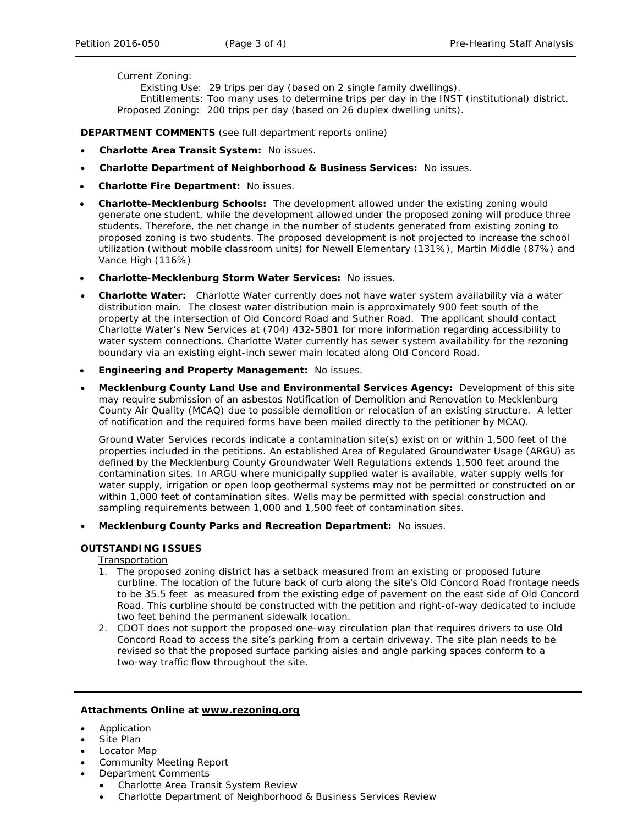Current Zoning:

Existing Use: 29 trips per day (based on 2 single family dwellings). Entitlements: Too many uses to determine trips per day in the INST (institutional) district. Proposed Zoning: 200 trips per day (based on 26 duplex dwelling units).

**DEPARTMENT COMMENTS** (see full department reports online)

- **Charlotte Area Transit System:** No issues.
- **Charlotte Department of Neighborhood & Business Services:** No issues.
- **Charlotte Fire Department:** No issues.
- **Charlotte-Mecklenburg Schools:** The development allowed under the existing zoning would generate one student, while the development allowed under the proposed zoning will produce three students. Therefore, the net change in the number of students generated from existing zoning to proposed zoning is two students. The proposed development is not projected to increase the school utilization (without mobile classroom units) for Newell Elementary (131%), Martin Middle (87%) and Vance High (116%)
- **Charlotte-Mecklenburg Storm Water Services:** No issues.
- **Charlotte Water:** Charlotte Water currently does not have water system availability via a water distribution main. The closest water distribution main is approximately 900 feet south of the property at the intersection of Old Concord Road and Suther Road. The applicant should contact Charlotte Water's New Services at (704) 432-5801 for more information regarding accessibility to water system connections. Charlotte Water currently has sewer system availability for the rezoning boundary via an existing eight-inch sewer main located along Old Concord Road.
- **Engineering and Property Management:** No issues.
- **Mecklenburg County Land Use and Environmental Services Agency:** Development of this site may require submission of an asbestos Notification of Demolition and Renovation to Mecklenburg County Air Quality (MCAQ) due to possible demolition or relocation of an existing structure. A letter of notification and the required forms have been mailed directly to the petitioner by MCAQ.

Ground Water Services records indicate a contamination site(s) exist on or within 1,500 feet of the properties included in the petitions. An established Area of Regulated Groundwater Usage (ARGU) as defined by the Mecklenburg County Groundwater Well Regulations extends 1,500 feet around the contamination sites. In ARGU where municipally supplied water is available, water supply wells for water supply, irrigation or open loop geothermal systems may not be permitted or constructed on or within 1,000 feet of contamination sites. Wells may be permitted with special construction and sampling requirements between 1,000 and 1,500 feet of contamination sites.

• **Mecklenburg County Parks and Recreation Department:** No issues.

#### **OUTSTANDING ISSUES**

Transportation

- 1. The proposed zoning district has a setback measured from an existing or proposed future curbline. The location of the future back of curb along the site's Old Concord Road frontage needs to be 35.5 feet as measured from the existing edge of pavement on the east side of Old Concord Road. This curbline should be constructed with the petition and right-of-way dedicated to include two feet behind the permanent sidewalk location.
- 2. CDOT does not support the proposed one-way circulation plan that requires drivers to use Old Concord Road to access the site's parking from a certain driveway. The site plan needs to be revised so that the proposed surface parking aisles and angle parking spaces conform to a two-way traffic flow throughout the site.

### **Attachments Online at www.rezoning.org**

- Application
- Site Plan
- Locator Map
- Community Meeting Report
- Department Comments
	- Charlotte Area Transit System Review
	- Charlotte Department of Neighborhood & Business Services Review